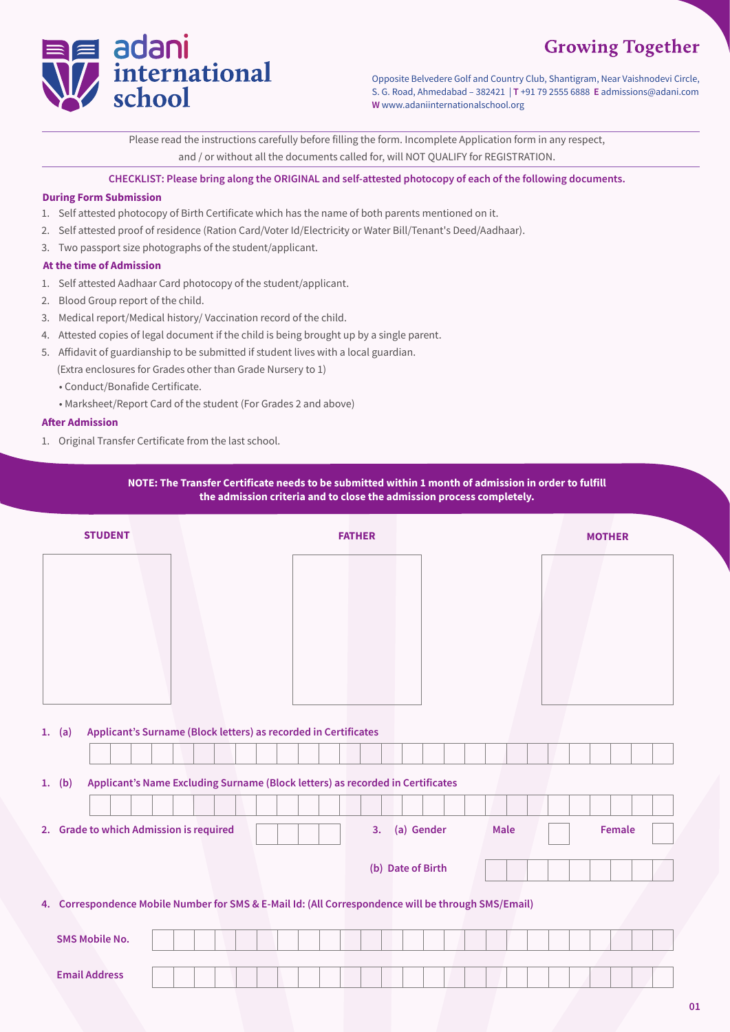# **Growing Together**



Opposite Belvedere Golf and Country Club, Shantigram, Near Vaishnodevi Circle, S. G. Road, Ahmedabad – 382421 | **T** +91 79 2555 6888 **E** admissions@adani.com **W** www.adaniinternationalschool.org

Please read the instructions carefully before filling the form. Incomplete Application form in any respect, and / or without all the documents called for, will NOT QUALIFY for REGISTRATION.

**CHECKLIST: Please bring along the ORIGINAL and self-attested photocopy of each of the following documents.** 

## **During Form Submission**

- 1. Self attested photocopy of Birth Certificate which has the name of both parents mentioned on it.
- 2. Self attested proof of residence (Ration Card/Voter Id/Electricity or Water Bill/Tenant's Deed/Aadhaar).
- 3. Two passport size photographs of the student/applicant.

### **At the time of Admission**

- 1. Self attested Aadhaar Card photocopy of the student/applicant.
- 2. Blood Group report of the child.
- 3. Medical report/Medical history/ Vaccination record of the child.
- 4. Attested copies of legal document if the child is being brought up by a single parent.
- 5. Affidavit of guardianship to be submitted if student lives with a local guardian.

(Extra enclosures for Grades other than Grade Nursery to 1)

- Conduct/Bonafide Certificate.
- Marksheet/Report Card of the student (For Grades 2 and above)

#### **After Admission**

1. Original Transfer Certificate from the last school.

# **NOTE: The Transfer Certificate needs to be submitted within 1 month of admission in order to fulfill the admission criteria and to close the admission process completely.**

| <b>STUDENT</b>                                                                                      | <b>FATHER</b>                   | <b>MOTHER</b> |
|-----------------------------------------------------------------------------------------------------|---------------------------------|---------------|
|                                                                                                     |                                 |               |
|                                                                                                     |                                 |               |
|                                                                                                     |                                 |               |
|                                                                                                     |                                 |               |
|                                                                                                     |                                 |               |
| Applicant's Surname (Block letters) as recorded in Certificates<br>1. (a)                           |                                 |               |
|                                                                                                     |                                 |               |
| Applicant's Name Excluding Surname (Block letters) as recorded in Certificates<br>1. $(b)$          |                                 |               |
|                                                                                                     |                                 |               |
| 2. Grade to which Admission is required                                                             | (a) Gender<br>3.<br><b>Male</b> | Female        |
|                                                                                                     | (b) Date of Birth               |               |
| 4. Correspondence Mobile Number for SMS & E-Mail Id: (All Correspondence will be through SMS/Email) |                                 |               |
|                                                                                                     |                                 |               |
| <b>SMS Mobile No.</b>                                                                               |                                 |               |
| <b>Email Address</b>                                                                                |                                 |               |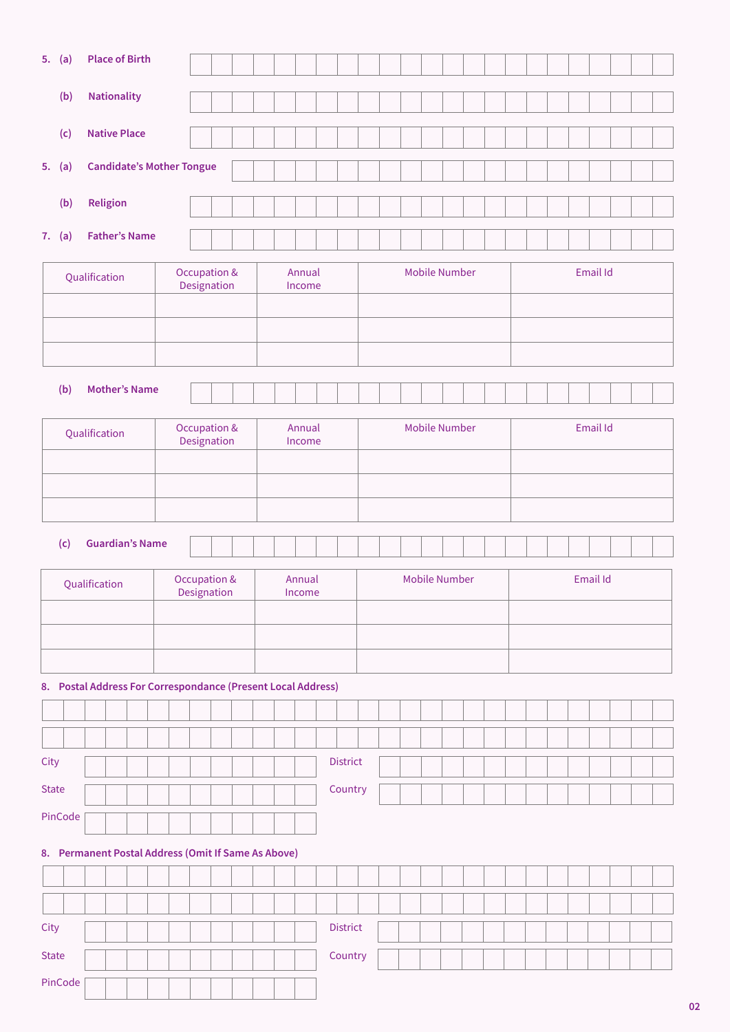|              | 5. (a)                                                       |               |                     | <b>Place of Birth</b>            |                                        |  |  |                             |                  |  |        |                  |                      |                 |                      |  |                      |  |          |  |  |          |  |  |          |  |  |  |  |
|--------------|--------------------------------------------------------------|---------------|---------------------|----------------------------------|----------------------------------------|--|--|-----------------------------|------------------|--|--------|------------------|----------------------|-----------------|----------------------|--|----------------------|--|----------|--|--|----------|--|--|----------|--|--|--|--|
|              | (b)                                                          |               | <b>Nationality</b>  |                                  |                                        |  |  |                             |                  |  |        |                  |                      |                 |                      |  |                      |  |          |  |  |          |  |  |          |  |  |  |  |
|              | (c)                                                          |               | <b>Native Place</b> |                                  |                                        |  |  |                             |                  |  |        |                  |                      |                 |                      |  |                      |  |          |  |  |          |  |  |          |  |  |  |  |
|              | 5. (a)                                                       |               |                     | <b>Candidate's Mother Tongue</b> |                                        |  |  |                             |                  |  |        |                  |                      |                 |                      |  |                      |  |          |  |  |          |  |  |          |  |  |  |  |
|              | (b)                                                          |               | Religion            |                                  |                                        |  |  |                             |                  |  |        |                  |                      |                 |                      |  |                      |  |          |  |  |          |  |  |          |  |  |  |  |
|              | 7. (a)                                                       |               |                     | <b>Father's Name</b>             |                                        |  |  |                             |                  |  |        |                  |                      |                 |                      |  |                      |  |          |  |  |          |  |  |          |  |  |  |  |
|              |                                                              |               |                     |                                  |                                        |  |  |                             |                  |  |        |                  |                      |                 |                      |  |                      |  |          |  |  |          |  |  |          |  |  |  |  |
|              |                                                              | Qualification |                     |                                  |                                        |  |  | Occupation &<br>Designation |                  |  |        | Annual<br>Income |                      |                 |                      |  | <b>Mobile Number</b> |  |          |  |  |          |  |  | Email Id |  |  |  |  |
|              |                                                              |               |                     |                                  |                                        |  |  |                             |                  |  |        |                  |                      |                 |                      |  |                      |  |          |  |  |          |  |  |          |  |  |  |  |
|              |                                                              |               |                     |                                  |                                        |  |  |                             |                  |  |        |                  |                      |                 |                      |  |                      |  |          |  |  |          |  |  |          |  |  |  |  |
|              | (b)                                                          |               |                     | <b>Mother's Name</b>             |                                        |  |  |                             |                  |  |        |                  |                      |                 |                      |  |                      |  |          |  |  |          |  |  |          |  |  |  |  |
|              |                                                              |               |                     |                                  |                                        |  |  |                             |                  |  |        | Annual           |                      |                 |                      |  |                      |  |          |  |  |          |  |  |          |  |  |  |  |
|              |                                                              | Qualification |                     |                                  | Occupation &<br>Designation            |  |  |                             |                  |  | Income |                  |                      |                 | <b>Mobile Number</b> |  |                      |  |          |  |  | Email Id |  |  |          |  |  |  |  |
|              |                                                              |               |                     |                                  |                                        |  |  |                             |                  |  |        |                  |                      |                 |                      |  |                      |  |          |  |  |          |  |  |          |  |  |  |  |
|              |                                                              |               |                     |                                  |                                        |  |  |                             |                  |  |        |                  |                      |                 |                      |  |                      |  |          |  |  |          |  |  |          |  |  |  |  |
|              | (c)                                                          |               |                     | <b>Guardian's Name</b>           |                                        |  |  |                             |                  |  |        |                  |                      |                 |                      |  |                      |  |          |  |  |          |  |  |          |  |  |  |  |
|              |                                                              | Qualification |                     |                                  | <b>Occupation &amp;</b><br>Designation |  |  |                             | Annual<br>Income |  |        |                  | <b>Mobile Number</b> |                 |                      |  |                      |  | Email Id |  |  |          |  |  |          |  |  |  |  |
|              |                                                              |               |                     |                                  |                                        |  |  |                             |                  |  |        |                  |                      |                 |                      |  |                      |  |          |  |  |          |  |  |          |  |  |  |  |
|              |                                                              |               |                     |                                  |                                        |  |  |                             |                  |  |        |                  |                      |                 |                      |  |                      |  |          |  |  |          |  |  |          |  |  |  |  |
|              | 8. Postal Address For Correspondance (Present Local Address) |               |                     |                                  |                                        |  |  |                             |                  |  |        |                  |                      |                 |                      |  |                      |  |          |  |  |          |  |  |          |  |  |  |  |
|              |                                                              |               |                     |                                  |                                        |  |  |                             |                  |  |        |                  |                      |                 |                      |  |                      |  |          |  |  |          |  |  |          |  |  |  |  |
|              |                                                              |               |                     |                                  |                                        |  |  |                             |                  |  |        |                  |                      |                 |                      |  |                      |  |          |  |  |          |  |  |          |  |  |  |  |
| City         |                                                              |               |                     |                                  |                                        |  |  |                             |                  |  |        |                  |                      | <b>District</b> |                      |  |                      |  |          |  |  |          |  |  |          |  |  |  |  |
|              |                                                              |               |                     |                                  |                                        |  |  |                             |                  |  |        |                  |                      |                 |                      |  |                      |  |          |  |  |          |  |  |          |  |  |  |  |
| <b>State</b> |                                                              |               |                     |                                  |                                        |  |  |                             |                  |  |        |                  |                      | Country         |                      |  |                      |  |          |  |  |          |  |  |          |  |  |  |  |
|              | PinCode                                                      |               |                     |                                  |                                        |  |  |                             |                  |  |        |                  |                      |                 |                      |  |                      |  |          |  |  |          |  |  |          |  |  |  |  |
|              | 8. Permanent Postal Address (Omit If Same As Above)          |               |                     |                                  |                                        |  |  |                             |                  |  |        |                  |                      |                 |                      |  |                      |  |          |  |  |          |  |  |          |  |  |  |  |
|              |                                                              |               |                     |                                  |                                        |  |  |                             |                  |  |        |                  |                      |                 |                      |  |                      |  |          |  |  |          |  |  |          |  |  |  |  |
| City         |                                                              |               |                     |                                  |                                        |  |  |                             |                  |  |        |                  |                      | <b>District</b> |                      |  |                      |  |          |  |  |          |  |  |          |  |  |  |  |
| <b>State</b> |                                                              |               |                     |                                  |                                        |  |  |                             |                  |  |        |                  |                      | Country         |                      |  |                      |  |          |  |  |          |  |  |          |  |  |  |  |

1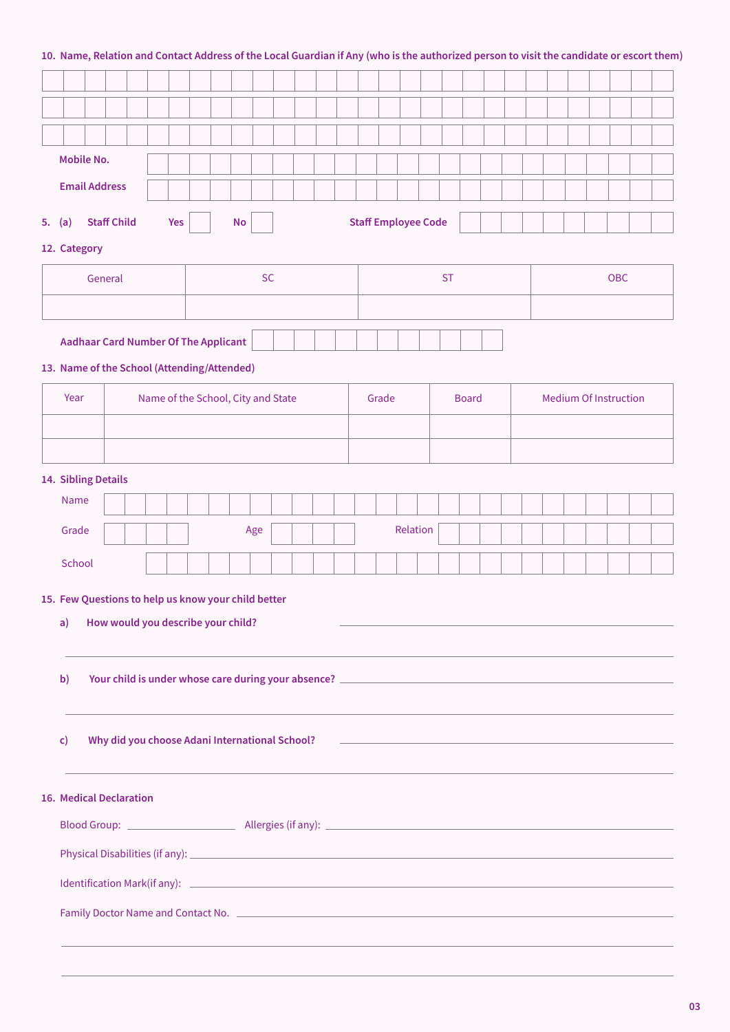# **10. Name, Relation and Contact Address of the Local Guardian if Any (who is the authorized person to visit the candidate or escort them)**

| <b>Mobile No.</b>                                                                                                                                                                                                              |  |                                    |  |  |     |  |  |                                                |           |  |  |                            |  |  |       |          |  |              |  |  |  |                              |  |  |                                                            |  |                                                                                                                                                                                                                                |  |
|--------------------------------------------------------------------------------------------------------------------------------------------------------------------------------------------------------------------------------|--|------------------------------------|--|--|-----|--|--|------------------------------------------------|-----------|--|--|----------------------------|--|--|-------|----------|--|--------------|--|--|--|------------------------------|--|--|------------------------------------------------------------|--|--------------------------------------------------------------------------------------------------------------------------------------------------------------------------------------------------------------------------------|--|
| <b>Email Address</b>                                                                                                                                                                                                           |  |                                    |  |  |     |  |  |                                                |           |  |  |                            |  |  |       |          |  |              |  |  |  |                              |  |  |                                                            |  |                                                                                                                                                                                                                                |  |
| 5. $(a)$                                                                                                                                                                                                                       |  |                                    |  |  | Yes |  |  | <b>No</b>                                      |           |  |  |                            |  |  |       |          |  |              |  |  |  |                              |  |  |                                                            |  |                                                                                                                                                                                                                                |  |
| <b>Staff Child</b>                                                                                                                                                                                                             |  |                                    |  |  |     |  |  |                                                |           |  |  | <b>Staff Employee Code</b> |  |  |       |          |  |              |  |  |  |                              |  |  |                                                            |  |                                                                                                                                                                                                                                |  |
| 12. Category                                                                                                                                                                                                                   |  |                                    |  |  |     |  |  |                                                |           |  |  |                            |  |  |       |          |  |              |  |  |  |                              |  |  |                                                            |  |                                                                                                                                                                                                                                |  |
|                                                                                                                                                                                                                                |  | General                            |  |  |     |  |  |                                                | <b>SC</b> |  |  |                            |  |  |       |          |  | <b>ST</b>    |  |  |  |                              |  |  | <b>OBC</b>                                                 |  |                                                                                                                                                                                                                                |  |
|                                                                                                                                                                                                                                |  |                                    |  |  |     |  |  |                                                |           |  |  |                            |  |  |       |          |  |              |  |  |  |                              |  |  |                                                            |  |                                                                                                                                                                                                                                |  |
|                                                                                                                                                                                                                                |  |                                    |  |  |     |  |  |                                                |           |  |  |                            |  |  |       |          |  |              |  |  |  |                              |  |  |                                                            |  |                                                                                                                                                                                                                                |  |
| <b>Aadhaar Card Number Of The Applicant</b>                                                                                                                                                                                    |  |                                    |  |  |     |  |  |                                                |           |  |  |                            |  |  |       |          |  |              |  |  |  |                              |  |  |                                                            |  |                                                                                                                                                                                                                                |  |
| 13. Name of the School (Attending/Attended)                                                                                                                                                                                    |  |                                    |  |  |     |  |  |                                                |           |  |  |                            |  |  |       |          |  |              |  |  |  |                              |  |  |                                                            |  |                                                                                                                                                                                                                                |  |
| Year                                                                                                                                                                                                                           |  | Name of the School, City and State |  |  |     |  |  |                                                |           |  |  |                            |  |  | Grade |          |  | <b>Board</b> |  |  |  | <b>Medium Of Instruction</b> |  |  |                                                            |  |                                                                                                                                                                                                                                |  |
|                                                                                                                                                                                                                                |  |                                    |  |  |     |  |  |                                                |           |  |  |                            |  |  |       |          |  |              |  |  |  |                              |  |  |                                                            |  |                                                                                                                                                                                                                                |  |
|                                                                                                                                                                                                                                |  |                                    |  |  |     |  |  |                                                |           |  |  |                            |  |  |       |          |  |              |  |  |  |                              |  |  |                                                            |  |                                                                                                                                                                                                                                |  |
|                                                                                                                                                                                                                                |  |                                    |  |  |     |  |  |                                                |           |  |  |                            |  |  |       |          |  |              |  |  |  |                              |  |  |                                                            |  |                                                                                                                                                                                                                                |  |
| 14. Sibling Details                                                                                                                                                                                                            |  |                                    |  |  |     |  |  |                                                |           |  |  |                            |  |  |       |          |  |              |  |  |  |                              |  |  |                                                            |  |                                                                                                                                                                                                                                |  |
| <b>Name</b>                                                                                                                                                                                                                    |  |                                    |  |  |     |  |  |                                                |           |  |  |                            |  |  |       |          |  |              |  |  |  |                              |  |  |                                                            |  |                                                                                                                                                                                                                                |  |
| Grade                                                                                                                                                                                                                          |  |                                    |  |  |     |  |  |                                                | Age       |  |  |                            |  |  |       | Relation |  |              |  |  |  |                              |  |  |                                                            |  |                                                                                                                                                                                                                                |  |
| School                                                                                                                                                                                                                         |  |                                    |  |  |     |  |  |                                                |           |  |  |                            |  |  |       |          |  |              |  |  |  |                              |  |  |                                                            |  |                                                                                                                                                                                                                                |  |
|                                                                                                                                                                                                                                |  |                                    |  |  |     |  |  |                                                |           |  |  |                            |  |  |       |          |  |              |  |  |  |                              |  |  |                                                            |  |                                                                                                                                                                                                                                |  |
| 15. Few Questions to help us know your child better                                                                                                                                                                            |  |                                    |  |  |     |  |  |                                                |           |  |  |                            |  |  |       |          |  |              |  |  |  |                              |  |  |                                                            |  |                                                                                                                                                                                                                                |  |
| a)                                                                                                                                                                                                                             |  |                                    |  |  |     |  |  | How would you describe your child?             |           |  |  |                            |  |  |       |          |  |              |  |  |  |                              |  |  |                                                            |  |                                                                                                                                                                                                                                |  |
|                                                                                                                                                                                                                                |  |                                    |  |  |     |  |  |                                                |           |  |  |                            |  |  |       |          |  |              |  |  |  |                              |  |  |                                                            |  |                                                                                                                                                                                                                                |  |
| $\mathbf{b}$                                                                                                                                                                                                                   |  |                                    |  |  |     |  |  |                                                |           |  |  |                            |  |  |       |          |  |              |  |  |  |                              |  |  |                                                            |  | Your child is under whose care during your absence? [1] The contract of the contract of the contract of the contract of the contract of the contract of the contract of the contract of the contract of the contract of the co |  |
|                                                                                                                                                                                                                                |  |                                    |  |  |     |  |  |                                                |           |  |  |                            |  |  |       |          |  |              |  |  |  |                              |  |  |                                                            |  |                                                                                                                                                                                                                                |  |
|                                                                                                                                                                                                                                |  |                                    |  |  |     |  |  |                                                |           |  |  |                            |  |  |       |          |  |              |  |  |  |                              |  |  |                                                            |  |                                                                                                                                                                                                                                |  |
| $\mathsf{c})$                                                                                                                                                                                                                  |  |                                    |  |  |     |  |  | Why did you choose Adani International School? |           |  |  |                            |  |  |       |          |  |              |  |  |  |                              |  |  | <u> 1980 - Johann Barn, amerikansk politiker (d. 1980)</u> |  |                                                                                                                                                                                                                                |  |
|                                                                                                                                                                                                                                |  |                                    |  |  |     |  |  |                                                |           |  |  |                            |  |  |       |          |  |              |  |  |  |                              |  |  |                                                            |  |                                                                                                                                                                                                                                |  |
| <b>16. Medical Declaration</b>                                                                                                                                                                                                 |  |                                    |  |  |     |  |  |                                                |           |  |  |                            |  |  |       |          |  |              |  |  |  |                              |  |  |                                                            |  |                                                                                                                                                                                                                                |  |
|                                                                                                                                                                                                                                |  |                                    |  |  |     |  |  |                                                |           |  |  |                            |  |  |       |          |  |              |  |  |  |                              |  |  |                                                            |  |                                                                                                                                                                                                                                |  |
|                                                                                                                                                                                                                                |  |                                    |  |  |     |  |  |                                                |           |  |  |                            |  |  |       |          |  |              |  |  |  |                              |  |  |                                                            |  |                                                                                                                                                                                                                                |  |
|                                                                                                                                                                                                                                |  |                                    |  |  |     |  |  |                                                |           |  |  |                            |  |  |       |          |  |              |  |  |  |                              |  |  |                                                            |  |                                                                                                                                                                                                                                |  |
|                                                                                                                                                                                                                                |  |                                    |  |  |     |  |  |                                                |           |  |  |                            |  |  |       |          |  |              |  |  |  |                              |  |  |                                                            |  |                                                                                                                                                                                                                                |  |
| Family Doctor Name and Contact No. 2008 2014 12:00:00 12:00:00 12:00:00 12:00:00 12:00:00 12:00:00 12:00:00 12:00:00 12:00:00 12:00:00 12:00:00 12:00:00 12:00:00 12:00:00 12:00:00 12:00:00 12:00:00 12:00:00 12:00:00 12:00: |  |                                    |  |  |     |  |  |                                                |           |  |  |                            |  |  |       |          |  |              |  |  |  |                              |  |  |                                                            |  |                                                                                                                                                                                                                                |  |
|                                                                                                                                                                                                                                |  |                                    |  |  |     |  |  |                                                |           |  |  |                            |  |  |       |          |  |              |  |  |  |                              |  |  |                                                            |  |                                                                                                                                                                                                                                |  |
|                                                                                                                                                                                                                                |  |                                    |  |  |     |  |  |                                                |           |  |  |                            |  |  |       |          |  |              |  |  |  |                              |  |  |                                                            |  |                                                                                                                                                                                                                                |  |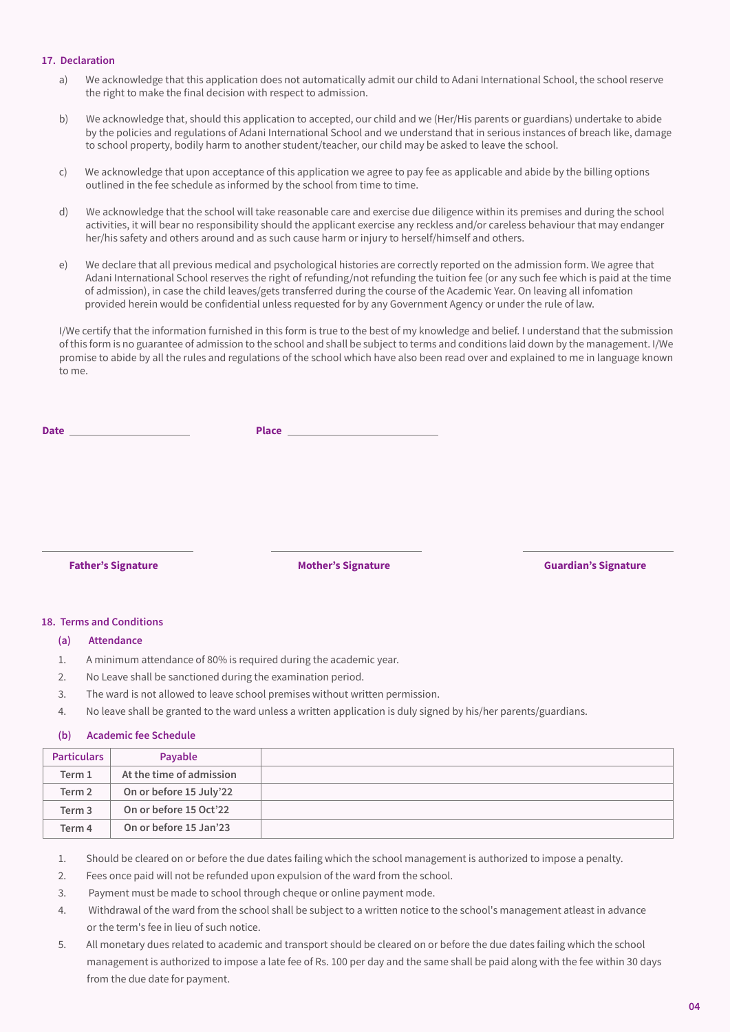#### **17. Declaration**

- a) We acknowledge that this application does not automatically admit our child to Adani International School, the school reserve the right to make the final decision with respect to admission.
- b) We acknowledge that, should this application to accepted, our child and we (Her/His parents or guardians) undertake to abide by the policies and regulations of Adani International School and we understand that in serious instances of breach like, damage to school property, bodily harm to another student/teacher, our child may be asked to leave the school.
- c) We acknowledge that upon acceptance of this application we agree to pay fee as applicable and abide by the billing options outlined in the fee schedule as informed by the school from time to time.
- d) We acknowledge that the school will take reasonable care and exercise due diligence within its premises and during the school activities, it will bear no responsibility should the applicant exercise any reckless and/or careless behaviour that may endanger her/his safety and others around and as such cause harm or injury to herself/himself and others.
- of admission), in case the child leaves/gets transferred during the course of the Academic Year. On leaving all infomation provided herein would be confidential unless requested for by any Government Agency or under the rule of law. e) We declare that all previous medical and psychological histories are correctly reported on the admission form. We agree that Adani International School reserves the right of refunding/not refunding the tuition fee (or any such fee which is paid at the time

I/We certify that the information furnished in this form is true to the best of my knowledge and belief. I understand that the submission of this form is no guarantee of admission to the school and shall be subject to terms and conditions laid down by the management. I/We promise to abide by all the rules and regulations of the school which have also been read over and explained to me in language known to me.

| Date _______________________ | Place <b>Example 2018</b> |                             |
|------------------------------|---------------------------|-----------------------------|
|                              |                           |                             |
|                              |                           |                             |
|                              |                           |                             |
|                              |                           |                             |
| <b>Father's Signature</b>    | <b>Mother's Signature</b> | <b>Guardian's Signature</b> |
|                              |                           |                             |

#### **18. Terms and Conditions**

#### **(a) Attendance**

- 1. A minimum attendance of 80% is required during the academic year.
- 2. No Leave shall be sanctioned during the examination period.
- 3. The ward is not allowed to leave school premises without written permission.
- 4. No leave shall be granted to the ward unless a written application is duly signed by his/her parents/guardians.

#### **(b) Academic fee Schedule**

| <b>Particulars</b> | Payable                  |  |
|--------------------|--------------------------|--|
| Term 1             | At the time of admission |  |
| Term 2             | On or before 15 July'22  |  |
| Term 3             | On or before 15 Oct'22   |  |
| Term 4             | On or before 15 Jan'23   |  |

1. Should be cleared on or before the due dates failing which the school management is authorized to impose a penalty.

- 2. Fees once paid will not be refunded upon expulsion of the ward from the school.
- 3. Payment must be made to school through cheque or online payment mode.
- 4. Withdrawal of the ward from the school shall be subject to a written notice to the school's management atleast in advance or the term's fee in lieu of such notice.
- 5. All monetary dues related to academic and transport should be cleared on or before the due dates failing which the school management is authorized to impose a late fee of Rs. 100 per day and the same shall be paid along with the fee within 30 days from the due date for payment.